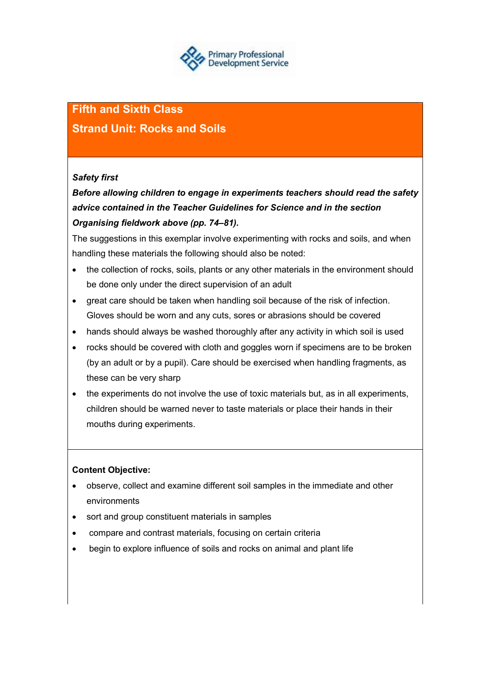

# **Fifth and Sixth Class**

# **Strand Unit: Rocks and Soils**

# *Safety first*

# *Before allowing children to engage in experiments teachers should read the safety advice contained in the Teacher Guidelines for Science and in the section Organising fieldwork above (pp. 74–81).*

The suggestions in this exemplar involve experimenting with rocks and soils, and when handling these materials the following should also be noted:

- the collection of rocks, soils, plants or any other materials in the environment should be done only under the direct supervision of an adult
- great care should be taken when handling soil because of the risk of infection. Gloves should be worn and any cuts, sores or abrasions should be covered
- hands should always be washed thoroughly after any activity in which soil is used
- rocks should be covered with cloth and goggles worn if specimens are to be broken (by an adult or by a pupil). Care should be exercised when handling fragments, as these can be very sharp
- the experiments do not involve the use of toxic materials but, as in all experiments, children should be warned never to taste materials or place their hands in their mouths during experiments.

# **Content Objective:**

- observe, collect and examine different soil samples in the immediate and other environments
- sort and group constituent materials in samples
- compare and contrast materials, focusing on certain criteria
- begin to explore influence of soils and rocks on animal and plant life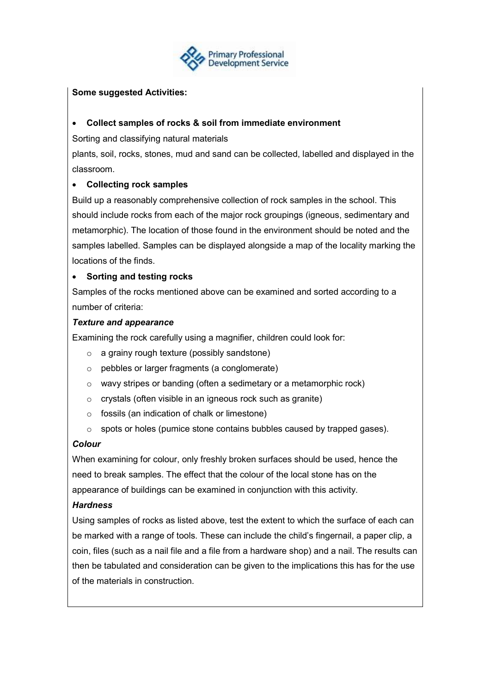

# **Some suggested Activities:**

### • **Collect samples of rocks & soil from immediate environment**

Sorting and classifying natural materials

plants, soil, rocks, stones, mud and sand can be collected, labelled and displayed in the classroom.

# • **Collecting rock samples**

Build up a reasonably comprehensive collection of rock samples in the school. This should include rocks from each of the major rock groupings (igneous, sedimentary and metamorphic). The location of those found in the environment should be noted and the samples labelled. Samples can be displayed alongside a map of the locality marking the locations of the finds.

# • **Sorting and testing rocks**

Samples of the rocks mentioned above can be examined and sorted according to a number of criteria:

# *Texture and appearance*

Examining the rock carefully using a magnifier, children could look for:

- o a grainy rough texture (possibly sandstone)
- o pebbles or larger fragments (a conglomerate)
- o wavy stripes or banding (often a sedimetary or a metamorphic rock)
- o crystals (often visible in an igneous rock such as granite)
- $\circ$  fossils (an indication of chalk or limestone)
- o spots or holes (pumice stone contains bubbles caused by trapped gases).

# *Colour*

When examining for colour, only freshly broken surfaces should be used, hence the need to break samples. The effect that the colour of the local stone has on the appearance of buildings can be examined in conjunction with this activity.

#### *Hardness*

Using samples of rocks as listed above, test the extent to which the surface of each can be marked with a range of tools. These can include the child's fingernail, a paper clip, a coin, files (such as a nail file and a file from a hardware shop) and a nail. The results can then be tabulated and consideration can be given to the implications this has for the use of the materials in construction.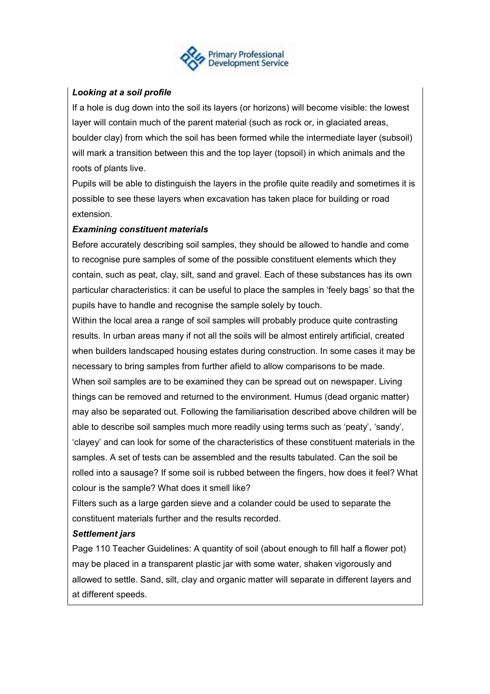

# *Looking at a soil profile*

If a hole is dug down into the soil its layers (or horizons) will become visible: the lowest layer will contain much of the parent material (such as rock or, in glaciated areas, boulder clay) from which the soil has been formed while the intermediate layer (subsoil) will mark a transition between this and the top layer (topsoil) in which animals and the roots of plants live.

Pupils will be able to distinguish the layers in the profile quite readily and sometimes it is possible to see these layers when excavation has taken place for building or road extension.

# *Examining constituent materials*

Before accurately describing soil samples, they should be allowed to handle and come to recognise pure samples of some of the possible constituent elements which they contain, such as peat, clay, silt, sand and gravel. Each of these substances has its own particular characteristics: it can be useful to place the samples in 'feely bags' so that the pupils have to handle and recognise the sample solely by touch.

Within the local area a range of soil samples will probably produce quite contrasting results. In urban areas many if not all the soils will be almost entirely artificial, created when builders landscaped housing estates during construction. In some cases it may be necessary to bring samples from further afield to allow comparisons to be made. When soil samples are to be examined they can be spread out on newspaper. Living things can be removed and returned to the environment. Humus (dead organic matter) may also be separated out. Following the familiarisation described above children will be able to describe soil samples much more readily using terms such as 'peaty', 'sandy', 'clayey' and can look for some of the characteristics of these constituent materials in the samples. A set of tests can be assembled and the results tabulated. Can the soil be rolled into a sausage? If some soil is rubbed between the fingers, how does it feel? What colour is the sample? What does it smell like?

Filters such as a large garden sieve and a colander could be used to separate the constituent materials further and the results recorded.

#### *Settlement jars*

Page 110 Teacher Guidelines: A quantity of soil (about enough to fill half a flower pot) may be placed in a transparent plastic jar with some water, shaken vigorously and allowed to settle. Sand, silt, clay and organic matter will separate in different layers and at different speeds.